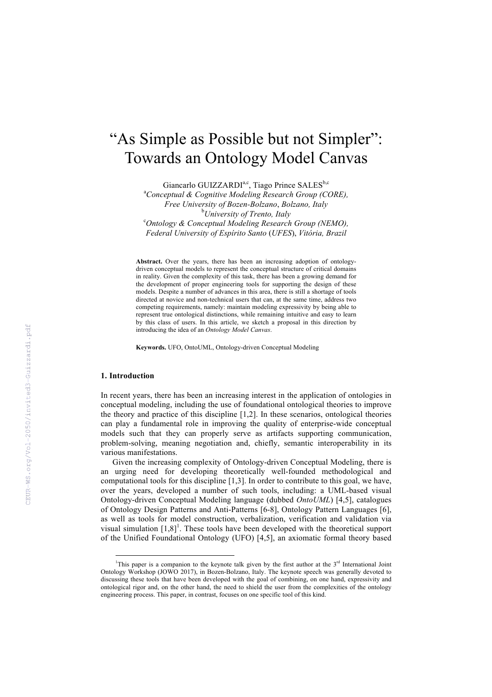# "As Simple as Possible but not Simpler": Towards an Ontology Model Canvas

Giancarlo GUIZZARDI<sup>a,c</sup>, Tiago Prince SALES<sup>b,c</sup>

a *Conceptual & Cognitive Modeling Research Group (CORE), Free University of Bozen-Bolzano*, *Bolzano, Italy* <sup>b</sup>University of Trento, Italy <sup>b</sup>University of Trento, Italy<br><sup>C</sup>Ontology & Conceptual Modeling Research Group (NEMO), *Federal University of Espírito Santo* (*UFES*), *Vitória, Brazil*

**Abstract.** Over the years, there has been an increasing adoption of ontologydriven conceptual models to represent the conceptual structure of critical domains in reality. Given the complexity of this task, there has been a growing demand for the development of proper engineering tools for supporting the design of these models. Despite a number of advances in this area, there is still a shortage of tools directed at novice and non-technical users that can, at the same time, address two competing requirements, namely: maintain modeling expressivity by being able to represent true ontological distinctions, while remaining intuitive and easy to learn by this class of users. In this article, we sketch a proposal in this direction by introducing the idea of an *Ontology Model Canvas*.

**Keywords.** UFO, OntoUML, Ontology-driven Conceptual Modeling

### **1. Introduction**

In recent years, there has been an increasing interest in the application of ontologies in conceptual modeling, including the use of foundational ontological theories to improve the theory and practice of this discipline [1,2]. In these scenarios, ontological theories can play a fundamental role in improving the quality of enterprise-wide conceptual models such that they can properly serve as artifacts supporting communication, problem-solving, meaning negotiation and, chiefly, semantic interoperability in its various manifestations.

Given the increasing complexity of Ontology-driven Conceptual Modeling, there is an urging need for developing theoretically well-founded methodological and computational tools for this discipline [1,3]. In order to contribute to this goal, we have, over the years, developed a number of such tools, including: a UML-based visual Ontology-driven Conceptual Modeling language (dubbed *OntoUML*) [4,5], catalogues of Ontology Design Patterns and Anti-Patterns [6-8], Ontology Pattern Languages [6], as well as tools for model construction, verbalization, verification and validation via visual simulation  $[1,8]$ <sup>1</sup>. These tools have been developed with the theoretical support of the Unified Foundational Ontology (UFO) [4,5], an axiomatic formal theory based

 $\frac{1}{1}$ <sup>1</sup>This paper is a companion to the keynote talk given by the first author at the  $3<sup>rd</sup>$  International Joint Ontology Workshop (JOWO 2017), in Bozen-Bolzano, Italy. The keynote speech was generally devoted to discussing these tools that have been developed with the goal of combining, on one hand, expressivity and ontological rigor and, on the other hand, the need to shield the user from the complexities of the ontology engineering process. This paper, in contrast, focuses on one specific tool of this kind.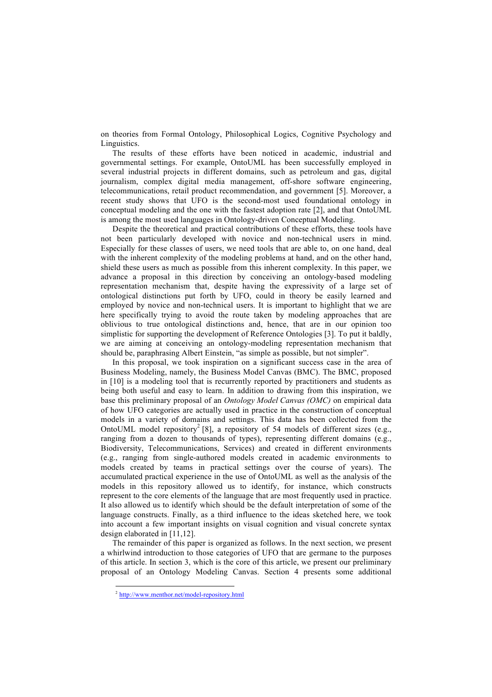on theories from Formal Ontology, Philosophical Logics, Cognitive Psychology and **Linguistics**.

The results of these efforts have been noticed in academic, industrial and governmental settings. For example, OntoUML has been successfully employed in several industrial projects in different domains, such as petroleum and gas, digital journalism, complex digital media management, off-shore software engineering, telecommunications, retail product recommendation, and government [5]. Moreover, a recent study shows that UFO is the second-most used foundational ontology in conceptual modeling and the one with the fastest adoption rate [2], and that OntoUML is among the most used languages in Ontology-driven Conceptual Modeling.

Despite the theoretical and practical contributions of these efforts, these tools have not been particularly developed with novice and non-technical users in mind. Especially for these classes of users, we need tools that are able to, on one hand, deal with the inherent complexity of the modeling problems at hand, and on the other hand, shield these users as much as possible from this inherent complexity. In this paper, we advance a proposal in this direction by conceiving an ontology-based modeling representation mechanism that, despite having the expressivity of a large set of ontological distinctions put forth by UFO, could in theory be easily learned and employed by novice and non-technical users. It is important to highlight that we are here specifically trying to avoid the route taken by modeling approaches that are oblivious to true ontological distinctions and, hence, that are in our opinion too simplistic for supporting the development of Reference Ontologies [3]. To put it baldly, we are aiming at conceiving an ontology-modeling representation mechanism that should be, paraphrasing Albert Einstein, "as simple as possible, but not simpler".

In this proposal, we took inspiration on a significant success case in the area of Business Modeling, namely, the Business Model Canvas (BMC). The BMC, proposed in [10] is a modeling tool that is recurrently reported by practitioners and students as being both useful and easy to learn. In addition to drawing from this inspiration, we base this preliminary proposal of an *Ontology Model Canvas (OMC)* on empirical data of how UFO categories are actually used in practice in the construction of conceptual models in a variety of domains and settings. This data has been collected from the OntoUML model repository<sup>2</sup> [8], a repository of 54 models of different sizes (e.g., ranging from a dozen to thousands of types), representing different domains (e.g., Biodiversity, Telecommunications, Services) and created in different environments (e.g., ranging from single-authored models created in academic environments to models created by teams in practical settings over the course of years). The accumulated practical experience in the use of OntoUML as well as the analysis of the models in this repository allowed us to identify, for instance, which constructs represent to the core elements of the language that are most frequently used in practice. It also allowed us to identify which should be the default interpretation of some of the language constructs. Finally, as a third influence to the ideas sketched here, we took into account a few important insights on visual cognition and visual concrete syntax design elaborated in [11,12].

The remainder of this paper is organized as follows. In the next section, we present a whirlwind introduction to those categories of UFO that are germane to the purposes of this article. In section 3, which is the core of this article, we present our preliminary proposal of an Ontology Modeling Canvas. Section 4 presents some additional

 <sup>2</sup> http://www.menthor.net/model-repository.html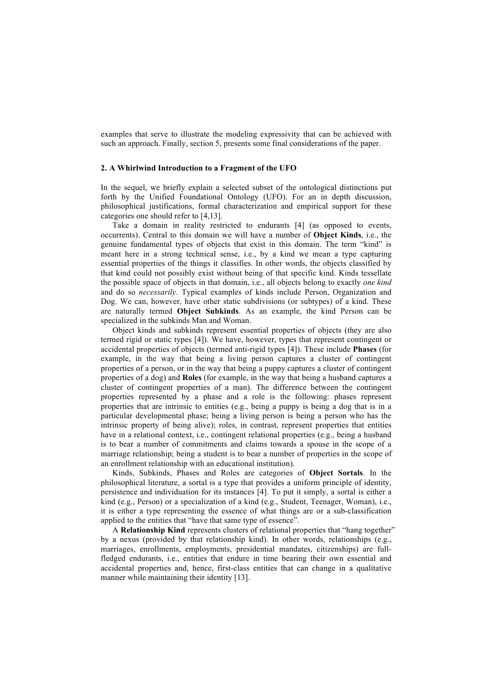examples that serve to illustrate the modeling expressivity that can be achieved with such an approach. Finally, section 5, presents some final considerations of the paper.

# **2. A Whirlwind Introduction to a Fragment of the UFO**

In the sequel, we briefly explain a selected subset of the ontological distinctions put forth by the Unified Foundational Ontology (UFO). For an in depth discussion, philosophical justifications, formal characterization and empirical support for these categories one should refer to [4,13].

Take a domain in reality restricted to endurants [4] (as opposed to events, occurrents). Central to this domain we will have a number of **Object Kinds**, i.e., the genuine fundamental types of objects that exist in this domain. The term "kind" is meant here in a strong technical sense, i.e., by a kind we mean a type capturing essential properties of the things it classifies. In other words, the objects classified by that kind could not possibly exist without being of that specific kind. Kinds tessellate the possible space of objects in that domain, i.e., all objects belong to exactly *one kind* and do so *necessarily*. Typical examples of kinds include Person, Organization and Dog. We can, however, have other static subdivisions (or subtypes) of a kind. These are naturally termed **Object Subkinds**. As an example, the kind Person can be specialized in the subkinds Man and Woman.

Object kinds and subkinds represent essential properties of objects (they are also termed rigid or static types [4]). We have, however, types that represent contingent or accidental properties of objects (termed anti-rigid types [4]). These include **Phases** (for example, in the way that being a living person captures a cluster of contingent properties of a person, or in the way that being a puppy captures a cluster of contingent properties of a dog) and **Roles** (for example, in the way that being a husband captures a cluster of contingent properties of a man). The difference between the contingent properties represented by a phase and a role is the following: phases represent properties that are intrinsic to entities (e.g., being a puppy is being a dog that is in a particular developmental phase; being a living person is being a person who has the intrinsic property of being alive); roles, in contrast, represent properties that entities have in a relational context, i.e., contingent relational properties (e.g., being a husband is to bear a number of commitments and claims towards a spouse in the scope of a marriage relationship; being a student is to bear a number of properties in the scope of an enrollment relationship with an educational institution).

Kinds, Subkinds, Phases and Roles are categories of **Object Sortals**. In the philosophical literature, a sortal is a type that provides a uniform principle of identity, persistence and individuation for its instances [4]. To put it simply, a sortal is either a kind (e.g., Person) or a specialization of a kind (e.g., Student, Teenager, Woman), i.e., it is either a type representing the essence of what things are or a sub-classification applied to the entities that "have that same type of essence".

A **Relationship Kind** represents clusters of relational properties that "hang together" by a nexus (provided by that relationship kind). In other words, relationships (e.g., marriages, enrollments, employments, presidential mandates, citizenships) are fullfledged endurants, i.e., entities that endure in time bearing their own essential and accidental properties and, hence, first-class entities that can change in a qualitative manner while maintaining their identity [13].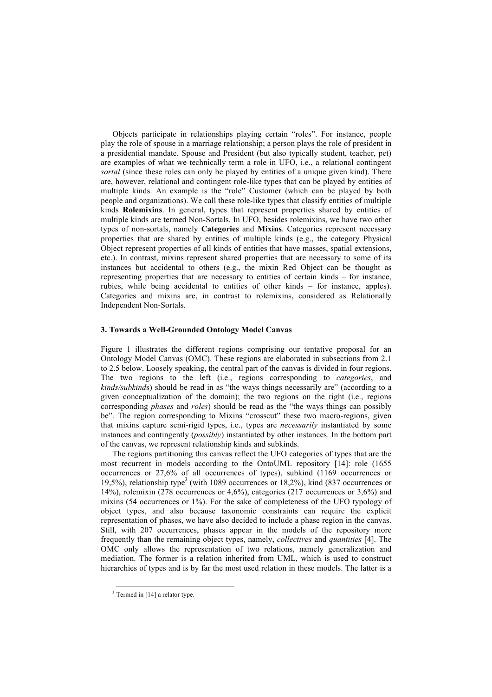Objects participate in relationships playing certain "roles". For instance, people play the role of spouse in a marriage relationship; a person plays the role of president in a presidential mandate. Spouse and President (but also typically student, teacher, pet) are examples of what we technically term a role in UFO, i.e., a relational contingent *sortal* (since these roles can only be played by entities of a unique given kind). There are, however, relational and contingent role-like types that can be played by entities of multiple kinds. An example is the "role" Customer (which can be played by both people and organizations). We call these role-like types that classify entities of multiple kinds **Rolemixins**. In general, types that represent properties shared by entities of multiple kinds are termed Non-Sortals. In UFO, besides rolemixins, we have two other types of non-sortals, namely **Categories** and **Mixins**. Categories represent necessary properties that are shared by entities of multiple kinds (e.g., the category Physical Object represent properties of all kinds of entities that have masses, spatial extensions, etc.). In contrast, mixins represent shared properties that are necessary to some of its instances but accidental to others (e.g., the mixin Red Object can be thought as representing properties that are necessary to entities of certain kinds – for instance, rubies, while being accidental to entities of other kinds – for instance, apples). Categories and mixins are, in contrast to rolemixins, considered as Relationally Independent Non-Sortals.

# **3. Towards a Well-Grounded Ontology Model Canvas**

Figure 1 illustrates the different regions comprising our tentative proposal for an Ontology Model Canvas (OMC). These regions are elaborated in subsections from 2.1 to 2.5 below. Loosely speaking, the central part of the canvas is divided in four regions. The two regions to the left (i.e., regions corresponding to *categories*, and *kinds/subkinds*) should be read in as "the ways things necessarily are" (according to a given conceptualization of the domain); the two regions on the right (i.e., regions corresponding *phases* and *roles*) should be read as the "the ways things can possibly be". The region corresponding to Mixins "crosscut" these two macro-regions, given that mixins capture semi-rigid types, i.e., types are *necessarily* instantiated by some instances and contingently (*possibly*) instantiated by other instances. In the bottom part of the canvas, we represent relationship kinds and subkinds.

The regions partitioning this canvas reflect the UFO categories of types that are the most recurrent in models according to the OntoUML repository [14]: role (1655 occurrences or 27,6% of all occurrences of types), subkind (1169 occurrences or 19,5%), relationship type<sup>3</sup> (with 1089 occurrences or 18,2%), kind (837 occurrences or 14%), rolemixin (278 occurrences or 4,6%), categories (217 occurrences or 3,6%) and mixins (54 occurrences or 1%). For the sake of completeness of the UFO typology of object types, and also because taxonomic constraints can require the explicit representation of phases, we have also decided to include a phase region in the canvas. Still, with 207 occurrences, phases appear in the models of the repository more frequently than the remaining object types, namely, *collectives* and *quantities* [4]. The OMC only allows the representation of two relations, namely generalization and mediation. The former is a relation inherited from UML, which is used to construct hierarchies of types and is by far the most used relation in these models. The latter is a

 $3$  Termed in [14] a relator type.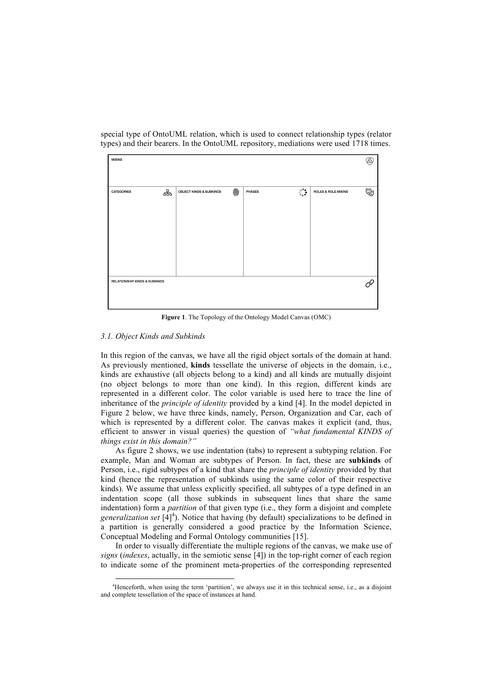special type of OntoUML relation, which is used to connect relationship types (relator types) and their bearers. In the OntoUML repository, mediations were used 1718 times.

|                                    |   |               |                                 |                                | Ã. |
|------------------------------------|---|---------------|---------------------------------|--------------------------------|----|
|                                    |   |               |                                 |                                |    |
|                                    |   |               |                                 |                                |    |
| <b>OBJECT KINDS &amp; SUBKINDS</b> | 《 | <b>PHASES</b> | $\circ_{\circ}^{\circ} \bullet$ | <b>ROLES &amp; ROLE MIXINS</b> | 喝  |
|                                    |   |               |                                 |                                |    |
|                                    |   |               |                                 |                                |    |
|                                    |   |               |                                 |                                |    |
|                                    |   |               |                                 |                                |    |
|                                    |   |               |                                 |                                |    |
|                                    |   |               |                                 |                                |    |
|                                    |   |               |                                 |                                |    |
|                                    |   |               |                                 |                                |    |
|                                    |   |               |                                 |                                |    |
|                                    |   |               |                                 |                                |    |
|                                    |   |               |                                 |                                |    |
|                                    |   |               |                                 |                                |    |

**Figure 1**. The Topology of the Ontology Model Canvas (OMC)

# *3.1. Object Kinds and Subkinds*

In this region of the canvas, we have all the rigid object sortals of the domain at hand. As previously mentioned, **kinds** tessellate the universe of objects in the domain, i.e., kinds are exhaustive (all objects belong to a kind) and all kinds are mutually disjoint (no object belongs to more than one kind). In this region, different kinds are represented in a different color. The color variable is used here to trace the line of inheritance of the *principle of identity* provided by a kind [4]. In the model depicted in Figure 2 below, we have three kinds, namely, Person, Organization and Car, each of which is represented by a different color. The canvas makes it explicit (and, thus, efficient to answer in visual queries) the question of *"what fundamental KINDS of things exist in this domain?"*

As figure 2 shows, we use indentation (tabs) to represent a subtyping relation. For example, Man and Woman are subtypes of Person. In fact, these are **subkinds** of Person, i.e., rigid subtypes of a kind that share the *principle of identity* provided by that kind (hence the representation of subkinds using the same color of their respective kinds). We assume that unless explicitly specified, all subtypes of a type defined in an indentation scope (all those subkinds in subsequent lines that share the same indentation) form a *partition* of that given type (i.e., they form a disjoint and complete *generalization set* [4] 4 ). Notice that having (by default) specializations to be defined in a partition is generally considered a good practice by the Information Science, Conceptual Modeling and Formal Ontology communities [15].

In order to visually differentiate the multiple regions of the canvas, we make use of *signs* (*indexes*, actually, in the semiotic sense [4]) in the top-right corner of each region to indicate some of the prominent meta-properties of the corresponding represented

 <sup>4</sup> Henceforth, when using the term 'partition', we always use it in this technical sense, i.e., as a disjoint and complete tessellation of the space of instances at hand.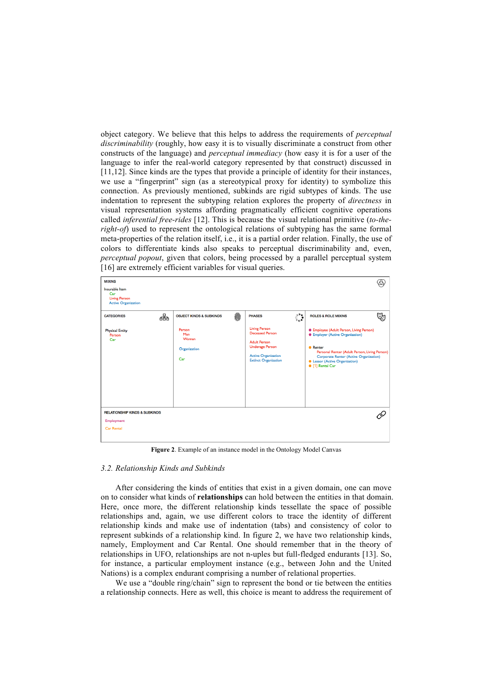object category. We believe that this helps to address the requirements of *perceptual discriminability* (roughly, how easy it is to visually discriminate a construct from other constructs of the language) and *perceptual immediacy* (how easy it is for a user of the language to infer the real-world category represented by that construct) discussed in [11,12]. Since kinds are the types that provide a principle of identity for their instances, we use a "fingerprint" sign (as a stereotypical proxy for identity) to symbolize this connection. As previously mentioned, subkinds are rigid subtypes of kinds. The use indentation to represent the subtyping relation explores the property of *directness* in visual representation systems affording pragmatically efficient cognitive operations called *inferential free-rides* [12]. This is because the visual relational primitive (*to-theright-of*) used to represent the ontological relations of subtyping has the same formal meta-properties of the relation itself, i.e., it is a partial order relation. Finally, the use of colors to differentiate kinds also speaks to perceptual discriminability and, even, *perceptual popout*, given that colors, being processed by a parallel perceptual system [16] are extremely efficient variables for visual queries.

| <b>MIXINS</b><br>Insurable Item<br>Car<br><b>Living Person</b><br><b>Active Organization</b> |   |                                                                                     |   |                                                                                                                                                                               |                         |                                                                                                                                                                                                                                                                                                                |   |
|----------------------------------------------------------------------------------------------|---|-------------------------------------------------------------------------------------|---|-------------------------------------------------------------------------------------------------------------------------------------------------------------------------------|-------------------------|----------------------------------------------------------------------------------------------------------------------------------------------------------------------------------------------------------------------------------------------------------------------------------------------------------------|---|
| <b>CATEGORIES</b><br><b>Physical Entity</b><br>Person<br>Car                                 | ຨ | <b>OBJECT KINDS &amp; SUBKINDS</b><br>Person<br>Man<br>Woman<br>Organization<br>Car | 《 | <b>PHASES</b><br><b>Living Person</b><br><b>Deceased Person</b><br><b>Adult Person</b><br><b>Underage Person</b><br><b>Active Organization</b><br><b>Extinct Organization</b> | $\circ_{\circ}^{\circ}$ | <b>ROLES &amp; ROLE MIXINS</b><br><b>C</b> Employee (Adult Person, Living Person)<br><b>•</b> Employer (Active Organization)<br><b>•</b> Renter<br>Personal Renter (Adult Person, Living Person)<br><b>Corporate Renter (Active Organization)</b><br><b>C</b> Lessor (Active Organization)<br>• [1] Rental Car | 喝 |
| <b>RELATIONSHIP KINDS &amp; SUBKINDS</b><br>Employment<br><b>Car Rental</b>                  |   |                                                                                     |   |                                                                                                                                                                               |                         |                                                                                                                                                                                                                                                                                                                |   |

**Figure 2**. Example of an instance model in the Ontology Model Canvas

#### *3.2. Relationship Kinds and Subkinds*

After considering the kinds of entities that exist in a given domain, one can move on to consider what kinds of **relationships** can hold between the entities in that domain. Here, once more, the different relationship kinds tessellate the space of possible relationships and, again, we use different colors to trace the identity of different relationship kinds and make use of indentation (tabs) and consistency of color to represent subkinds of a relationship kind. In figure 2, we have two relationship kinds, namely, Employment and Car Rental. One should remember that in the theory of relationships in UFO, relationships are not n-uples but full-fledged endurants [13]. So, for instance, a particular employment instance (e.g., between John and the United Nations) is a complex endurant comprising a number of relational properties.

We use a "double ring/chain" sign to represent the bond or tie between the entities a relationship connects. Here as well, this choice is meant to address the requirement of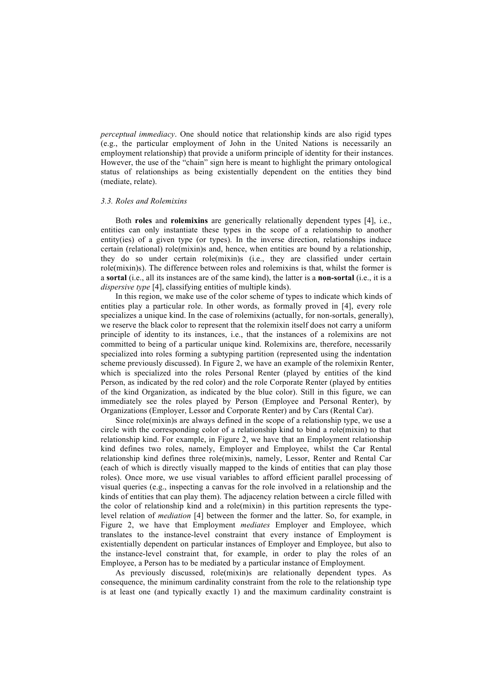*perceptual immediacy*. One should notice that relationship kinds are also rigid types (e.g., the particular employment of John in the United Nations is necessarily an employment relationship) that provide a uniform principle of identity for their instances. However, the use of the "chain" sign here is meant to highlight the primary ontological status of relationships as being existentially dependent on the entities they bind (mediate, relate).

#### *3.3. Roles and Rolemixins*

Both **roles** and **rolemixins** are generically relationally dependent types [4], i.e., entities can only instantiate these types in the scope of a relationship to another entity(ies) of a given type (or types). In the inverse direction, relationships induce certain (relational) role(mixin)s and, hence, when entities are bound by a relationship, they do so under certain role(mixin)s (i.e., they are classified under certain role(mixin)s). The difference between roles and rolemixins is that, whilst the former is a **sortal** (i.e., all its instances are of the same kind), the latter is a **non-sortal** (i.e., it is a *dispersive type* [4], classifying entities of multiple kinds).

In this region, we make use of the color scheme of types to indicate which kinds of entities play a particular role. In other words, as formally proved in [4], every role specializes a unique kind. In the case of rolemixins (actually, for non-sortals, generally), we reserve the black color to represent that the rolemixin itself does not carry a uniform principle of identity to its instances, i.e., that the instances of a rolemixins are not committed to being of a particular unique kind. Rolemixins are, therefore, necessarily specialized into roles forming a subtyping partition (represented using the indentation scheme previously discussed). In Figure 2, we have an example of the rolemixin Renter, which is specialized into the roles Personal Renter (played by entities of the kind Person, as indicated by the red color) and the role Corporate Renter (played by entities of the kind Organization, as indicated by the blue color). Still in this figure, we can immediately see the roles played by Person (Employee and Personal Renter), by Organizations (Employer, Lessor and Corporate Renter) and by Cars (Rental Car).

Since role(mixin)s are always defined in the scope of a relationship type, we use a circle with the corresponding color of a relationship kind to bind a role(mixin) to that relationship kind. For example, in Figure 2, we have that an Employment relationship kind defines two roles, namely, Employer and Employee, whilst the Car Rental relationship kind defines three role(mixin)s, namely, Lessor, Renter and Rental Car (each of which is directly visually mapped to the kinds of entities that can play those roles). Once more, we use visual variables to afford efficient parallel processing of visual queries (e.g., inspecting a canvas for the role involved in a relationship and the kinds of entities that can play them). The adjacency relation between a circle filled with the color of relationship kind and a role(mixin) in this partition represents the typelevel relation of *mediation* [4] between the former and the latter. So, for example, in Figure 2, we have that Employment *mediates* Employer and Employee, which translates to the instance-level constraint that every instance of Employment is existentially dependent on particular instances of Employer and Employee, but also to the instance-level constraint that, for example, in order to play the roles of an Employee, a Person has to be mediated by a particular instance of Employment.

As previously discussed, role(mixin)s are relationally dependent types. As consequence, the minimum cardinality constraint from the role to the relationship type is at least one (and typically exactly 1) and the maximum cardinality constraint is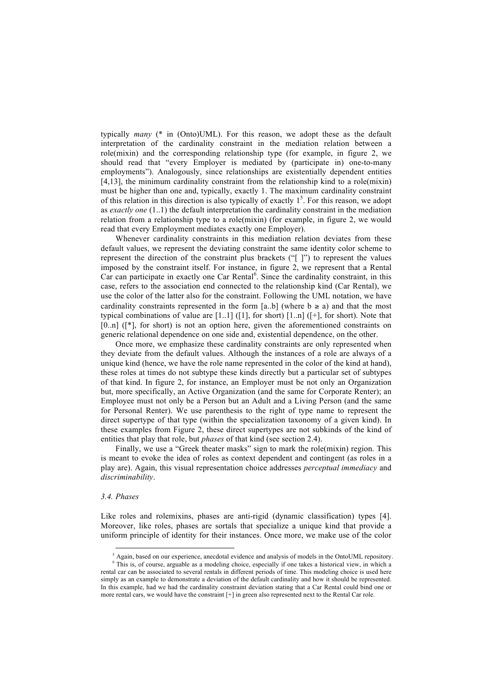typically *many* (\* in (Onto)UML). For this reason, we adopt these as the default interpretation of the cardinality constraint in the mediation relation between a role(mixin) and the corresponding relationship type (for example, in figure 2, we should read that "every Employer is mediated by (participate in) one-to-many employments"). Analogously, since relationships are existentially dependent entities [4,13], the minimum cardinality constraint from the relationship kind to a role(mixin) must be higher than one and, typically, exactly 1. The maximum cardinality constraint of this relation in this direction is also typically of exactly  $1<sup>5</sup>$ . For this reason, we adopt as *exactly one* (1..1) the default interpretation the cardinality constraint in the mediation relation from a relationship type to a role(mixin) (for example, in figure 2, we would read that every Employment mediates exactly one Employer).

Whenever cardinality constraints in this mediation relation deviates from these default values, we represent the deviating constraint the same identity color scheme to represent the direction of the constraint plus brackets ("[ ]") to represent the values imposed by the constraint itself. For instance, in figure 2, we represent that a Rental Car can participate in exactly one Car Rental<sup>6</sup>. Since the cardinality constraint, in this case, refers to the association end connected to the relationship kind (Car Rental), we use the color of the latter also for the constraint. Following the UML notation, we have cardinality constraints represented in the form [a. b] (where  $b \ge a$ ) and that the most typical combinations of value are  $[1..1]$  ( $[1]$ , for short)  $[1..n]$  ( $[+]$ , for short). Note that  $[0..n]$   $([*)$ , for short) is not an option here, given the aforementioned constraints on generic relational dependence on one side and, existential dependence, on the other.

Once more, we emphasize these cardinality constraints are only represented when they deviate from the default values. Although the instances of a role are always of a unique kind (hence, we have the role name represented in the color of the kind at hand), these roles at times do not subtype these kinds directly but a particular set of subtypes of that kind. In figure 2, for instance, an Employer must be not only an Organization but, more specifically, an Active Organization (and the same for Corporate Renter); an Employee must not only be a Person but an Adult and a Living Person (and the same for Personal Renter). We use parenthesis to the right of type name to represent the direct supertype of that type (within the specialization taxonomy of a given kind). In these examples from Figure 2, these direct supertypes are not subkinds of the kind of entities that play that role, but *phases* of that kind (see section 2.4).

Finally, we use a "Greek theater masks" sign to mark the role(mixin) region. This is meant to evoke the idea of roles as context dependent and contingent (as roles in a play are). Again, this visual representation choice addresses *perceptual immediacy* and *discriminability*.

#### *3.4. Phases*

Like roles and rolemixins, phases are anti-rigid (dynamic classification) types [4]. Moreover, like roles, phases are sortals that specialize a unique kind that provide a uniform principle of identity for their instances. Once more, we make use of the color

more rental cars, we would have the constraint  $[+]$  in green also represented next to the Rental Car role.

<sup>5</sup> Again, based on our experience, anecdotal evidence and analysis of models in the OntoUML repository. 6 This is, of course, arguable as a modeling choice, especially if one takes a historical view, in which a rental car can be associated to several rentals in different periods of time. This modeling choice is used here simply as an example to demonstrate a deviation of the default cardinality and how it should be represented. In this example, had we had the cardinality constraint deviation stating that a Car Rental could bind one or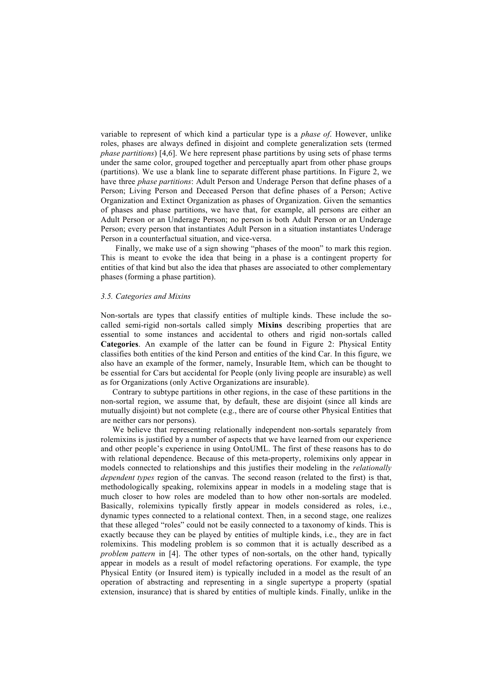variable to represent of which kind a particular type is a *phase of*. However, unlike roles, phases are always defined in disjoint and complete generalization sets (termed *phase partitions*) [4,6]. We here represent phase partitions by using sets of phase terms under the same color, grouped together and perceptually apart from other phase groups (partitions). We use a blank line to separate different phase partitions. In Figure 2, we have three *phase partitions*: Adult Person and Underage Person that define phases of a Person; Living Person and Deceased Person that define phases of a Person; Active Organization and Extinct Organization as phases of Organization. Given the semantics of phases and phase partitions, we have that, for example, all persons are either an Adult Person or an Underage Person; no person is both Adult Person or an Underage Person; every person that instantiates Adult Person in a situation instantiates Underage Person in a counterfactual situation, and vice-versa.

Finally, we make use of a sign showing "phases of the moon" to mark this region. This is meant to evoke the idea that being in a phase is a contingent property for entities of that kind but also the idea that phases are associated to other complementary phases (forming a phase partition).

# *3.5. Categories and Mixins*

Non-sortals are types that classify entities of multiple kinds. These include the socalled semi-rigid non-sortals called simply **Mixins** describing properties that are essential to some instances and accidental to others and rigid non-sortals called **Categories**. An example of the latter can be found in Figure 2: Physical Entity classifies both entities of the kind Person and entities of the kind Car. In this figure, we also have an example of the former, namely, Insurable Item, which can be thought to be essential for Cars but accidental for People (only living people are insurable) as well as for Organizations (only Active Organizations are insurable).

Contrary to subtype partitions in other regions, in the case of these partitions in the non-sortal region, we assume that, by default, these are disjoint (since all kinds are mutually disjoint) but not complete (e.g., there are of course other Physical Entities that are neither cars nor persons).

We believe that representing relationally independent non-sortals separately from rolemixins is justified by a number of aspects that we have learned from our experience and other people's experience in using OntoUML. The first of these reasons has to do with relational dependence. Because of this meta-property, rolemixins only appear in models connected to relationships and this justifies their modeling in the *relationally dependent types* region of the canvas. The second reason (related to the first) is that, methodologically speaking, rolemixins appear in models in a modeling stage that is much closer to how roles are modeled than to how other non-sortals are modeled. Basically, rolemixins typically firstly appear in models considered as roles, i.e., dynamic types connected to a relational context. Then, in a second stage, one realizes that these alleged "roles" could not be easily connected to a taxonomy of kinds. This is exactly because they can be played by entities of multiple kinds, i.e., they are in fact rolemixins. This modeling problem is so common that it is actually described as a *problem pattern* in [4]. The other types of non-sortals, on the other hand, typically appear in models as a result of model refactoring operations. For example, the type Physical Entity (or Insured item) is typically included in a model as the result of an operation of abstracting and representing in a single supertype a property (spatial extension, insurance) that is shared by entities of multiple kinds. Finally, unlike in the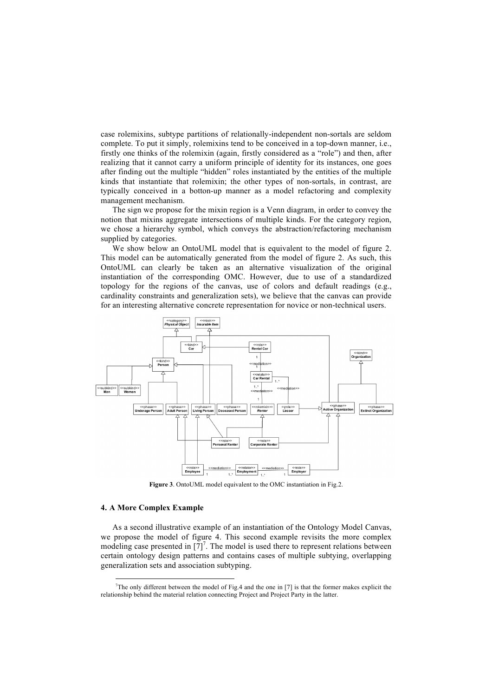case rolemixins, subtype partitions of relationally-independent non-sortals are seldom complete. To put it simply, rolemixins tend to be conceived in a top-down manner, i.e., firstly one thinks of the rolemixin (again, firstly considered as a "role") and then, after realizing that it cannot carry a uniform principle of identity for its instances, one goes after finding out the multiple "hidden" roles instantiated by the entities of the multiple kinds that instantiate that rolemixin; the other types of non-sortals, in contrast, are typically conceived in a botton-up manner as a model refactoring and complexity management mechanism.

The sign we propose for the mixin region is a Venn diagram, in order to convey the notion that mixins aggregate intersections of multiple kinds. For the category region, we chose a hierarchy symbol, which conveys the abstraction/refactoring mechanism supplied by categories.

We show below an OntoUML model that is equivalent to the model of figure 2. This model can be automatically generated from the model of figure 2. As such, this OntoUML can clearly be taken as an alternative visualization of the original instantiation of the corresponding OMC. However, due to use of a standardized topology for the regions of the canvas, use of colors and default readings (e.g., cardinality constraints and generalization sets), we believe that the canvas can provide for an interesting alternative concrete representation for novice or non-technical users.



**Figure 3**. OntoUML model equivalent to the OMC instantiation in Fig.2.

#### **4. A More Complex Example**

As a second illustrative example of an instantiation of the Ontology Model Canvas, we propose the model of figure 4. This second example revisits the more complex modeling case presented in  $[7]^7$ . The model is used there to represent relations between certain ontology design patterns and contains cases of multiple subtying, overlapping generalization sets and association subtyping.

<sup>-&</sup>lt;br>7 The only different between the model of Fig.4 and the one in  $[7]$  is that the former makes explicit the relationship behind the material relation connecting Project and Project Party in the latter.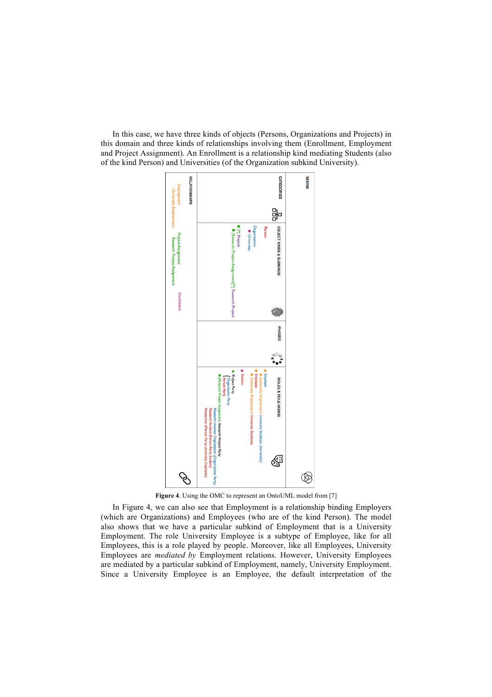In this case, we have three kinds of objects (Persons, Organizations and Projects) in this domain and three kinds of relationships involving them (Enrollment, Employment and Project Assignment). An Enrollment is a relationship kind mediating Students (also of the kind Person) and Universities (of the Organization subkind University).



**Figure 4**. Using the OMC to represent an OntoUML model from [7]

In Figure 4, we can also see that Employment is a relationship binding Employers (which are Organizations) and Employees (who are of the kind Person). The model also shows that we have a particular subkind of Employment that is a University Employment. The role University Employee is a subtype of Employee, like for all Employees, this is a role played by people. Moreover, like all Employees, University Employees are *mediated by* Employment relations. However, University Employees are mediated by a particular subkind of Employment, namely, University Employment. Since a University Employee is an Employee, the default interpretation of the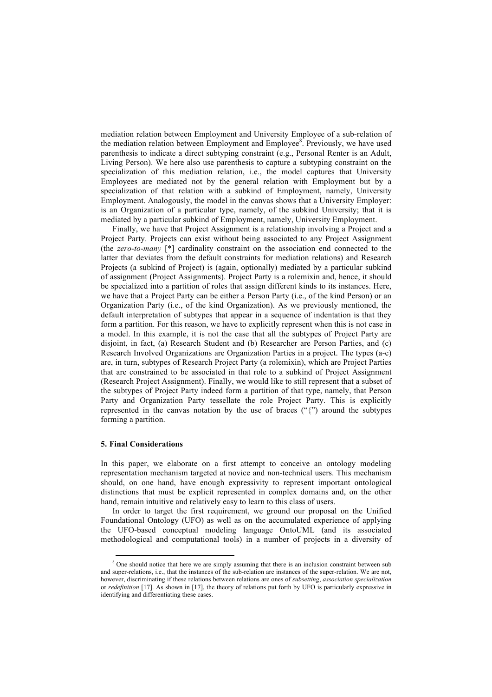mediation relation between Employment and University Employee of a sub-relation of the mediation relation between Employment and Employee<sup>8</sup>. Previously, we have used parenthesis to indicate a direct subtyping constraint (e.g., Personal Renter is an Adult, Living Person). We here also use parenthesis to capture a subtyping constraint on the specialization of this mediation relation, i.e., the model captures that University Employees are mediated not by the general relation with Employment but by a specialization of that relation with a subkind of Employment, namely, University Employment. Analogously, the model in the canvas shows that a University Employer: is an Organization of a particular type, namely, of the subkind University; that it is mediated by a particular subkind of Employment, namely, University Employment.

Finally, we have that Project Assignment is a relationship involving a Project and a Project Party. Projects can exist without being associated to any Project Assignment (the *zero-to-many* [\*] cardinality constraint on the association end connected to the latter that deviates from the default constraints for mediation relations) and Research Projects (a subkind of Project) is (again, optionally) mediated by a particular subkind of assignment (Project Assignments). Project Party is a rolemixin and, hence, it should be specialized into a partition of roles that assign different kinds to its instances. Here, we have that a Project Party can be either a Person Party (i.e., of the kind Person) or an Organization Party (i.e., of the kind Organization). As we previously mentioned, the default interpretation of subtypes that appear in a sequence of indentation is that they form a partition. For this reason, we have to explicitly represent when this is not case in a model. In this example, it is not the case that all the subtypes of Project Party are disjoint, in fact, (a) Research Student and (b) Researcher are Person Parties, and (c) Research Involved Organizations are Organization Parties in a project. The types (a-c) are, in turn, subtypes of Research Project Party (a rolemixin), which are Project Parties that are constrained to be associated in that role to a subkind of Project Assignment (Research Project Assignment). Finally, we would like to still represent that a subset of the subtypes of Project Party indeed form a partition of that type, namely, that Person Party and Organization Party tessellate the role Project Party. This is explicitly represented in the canvas notation by the use of braces  $($ " $\}$ " $)$ " around the subtypes forming a partition.

## **5. Final Considerations**

In this paper, we elaborate on a first attempt to conceive an ontology modeling representation mechanism targeted at novice and non-technical users. This mechanism should, on one hand, have enough expressivity to represent important ontological distinctions that must be explicit represented in complex domains and, on the other hand, remain intuitive and relatively easy to learn to this class of users.

In order to target the first requirement, we ground our proposal on the Unified Foundational Ontology (UFO) as well as on the accumulated experience of applying the UFO-based conceptual modeling language OntoUML (and its associated methodological and computational tools) in a number of projects in a diversity of

<sup>&</sup>lt;sup>8</sup> One should notice that here we are simply assuming that there is an inclusion constraint between sub and super-relations, i.e., that the instances of the sub-relation are instances of the super-relation. We are not, however, discriminating if these relations between relations are ones of *subsetting*, *association specialization* or *redefinition* [17]. As shown in [17], the theory of relations put forth by UFO is particularly expressive in identifying and differentiating these cases.